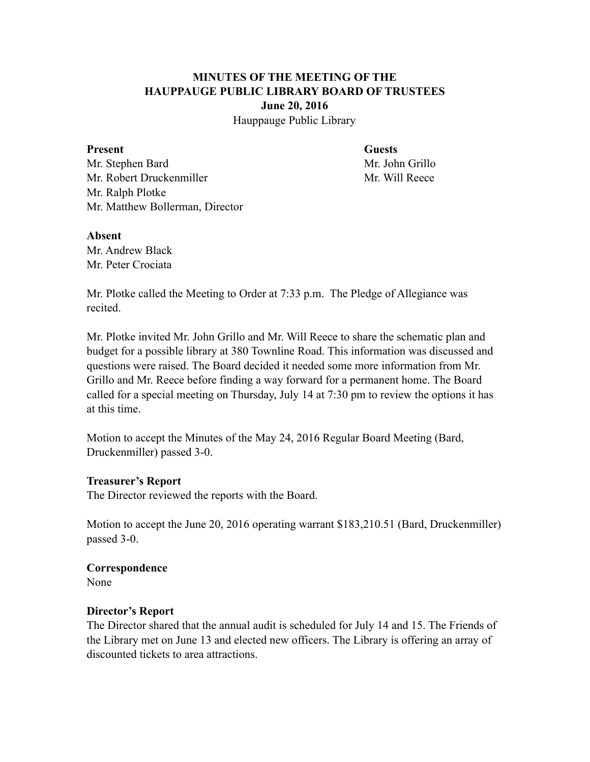# **MINUTES OF THE MEETING OF THE HAUPPAUGE PUBLIC LIBRARY BOARD OF TRUSTEES June 20, 2016**

Hauppauge Public Library

#### **Present Guests**

Mr. Stephen Bard Mr. John Grillo Mr. Robert Druckenmiller Mr. Will Reece Mr. Ralph Plotke Mr. Matthew Bollerman, Director

#### **Absent**

Mr. Andrew Black Mr. Peter Crociata

Mr. Plotke called the Meeting to Order at 7:33 p.m. The Pledge of Allegiance was recited.

Mr. Plotke invited Mr. John Grillo and Mr. Will Reece to share the schematic plan and budget for a possible library at 380 Townline Road. This information was discussed and questions were raised. The Board decided it needed some more information from Mr. Grillo and Mr. Reece before finding a way forward for a permanent home. The Board called for a special meeting on Thursday, July 14 at 7:30 pm to review the options it has at this time.

Motion to accept the Minutes of the May 24, 2016 Regular Board Meeting (Bard, Druckenmiller) passed 3-0.

### **Treasurer's Report**

The Director reviewed the reports with the Board.

Motion to accept the June 20, 2016 operating warrant \$183,210.51 (Bard, Druckenmiller) passed 3-0.

## **Correspondence**

None

### **Director's Report**

The Director shared that the annual audit is scheduled for July 14 and 15. The Friends of the Library met on June 13 and elected new officers. The Library is offering an array of discounted tickets to area attractions.